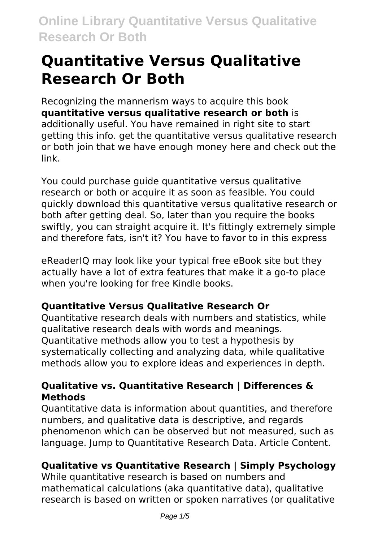# **Quantitative Versus Qualitative Research Or Both**

Recognizing the mannerism ways to acquire this book **quantitative versus qualitative research or both** is additionally useful. You have remained in right site to start getting this info. get the quantitative versus qualitative research or both join that we have enough money here and check out the link.

You could purchase guide quantitative versus qualitative research or both or acquire it as soon as feasible. You could quickly download this quantitative versus qualitative research or both after getting deal. So, later than you require the books swiftly, you can straight acquire it. It's fittingly extremely simple and therefore fats, isn't it? You have to favor to in this express

eReaderIQ may look like your typical free eBook site but they actually have a lot of extra features that make it a go-to place when you're looking for free Kindle books.

### **Quantitative Versus Qualitative Research Or**

Quantitative research deals with numbers and statistics, while qualitative research deals with words and meanings. Quantitative methods allow you to test a hypothesis by systematically collecting and analyzing data, while qualitative methods allow you to explore ideas and experiences in depth.

### **Qualitative vs. Quantitative Research | Differences & Methods**

Quantitative data is information about quantities, and therefore numbers, and qualitative data is descriptive, and regards phenomenon which can be observed but not measured, such as language. Jump to Quantitative Research Data. Article Content.

### **Qualitative vs Quantitative Research | Simply Psychology**

While quantitative research is based on numbers and mathematical calculations (aka quantitative data), qualitative research is based on written or spoken narratives (or qualitative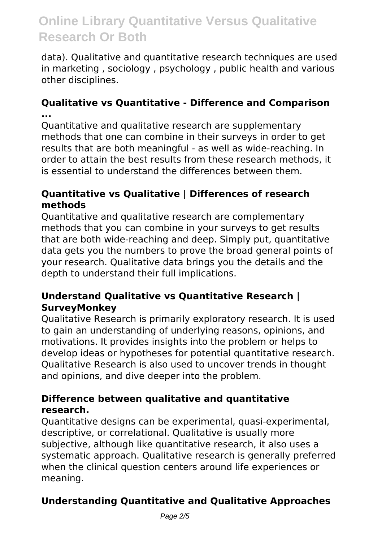data). Qualitative and quantitative research techniques are used in marketing , sociology , psychology , public health and various other disciplines.

#### **Qualitative vs Quantitative - Difference and Comparison ...**

Quantitative and qualitative research are supplementary methods that one can combine in their surveys in order to get results that are both meaningful - as well as wide-reaching. In order to attain the best results from these research methods, it is essential to understand the differences between them.

#### **Quantitative vs Qualitative | Differences of research methods**

Quantitative and qualitative research are complementary methods that you can combine in your surveys to get results that are both wide-reaching and deep. Simply put, quantitative data gets you the numbers to prove the broad general points of your research. Qualitative data brings you the details and the depth to understand their full implications.

#### **Understand Qualitative vs Quantitative Research | SurveyMonkey**

Qualitative Research is primarily exploratory research. It is used to gain an understanding of underlying reasons, opinions, and motivations. It provides insights into the problem or helps to develop ideas or hypotheses for potential quantitative research. Qualitative Research is also used to uncover trends in thought and opinions, and dive deeper into the problem.

#### **Difference between qualitative and quantitative research.**

Quantitative designs can be experimental, quasi-experimental, descriptive, or correlational. Qualitative is usually more subjective, although like quantitative research, it also uses a systematic approach. Qualitative research is generally preferred when the clinical question centers around life experiences or meaning.

### **Understanding Quantitative and Qualitative Approaches**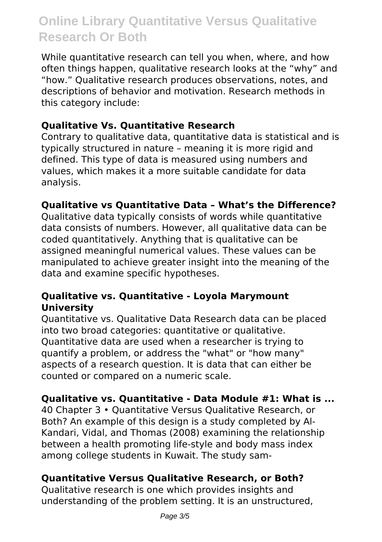While quantitative research can tell you when, where, and how often things happen, qualitative research looks at the "why" and "how." Qualitative research produces observations, notes, and descriptions of behavior and motivation. Research methods in this category include:

#### **Qualitative Vs. Quantitative Research**

Contrary to qualitative data, quantitative data is statistical and is typically structured in nature – meaning it is more rigid and defined. This type of data is measured using numbers and values, which makes it a more suitable candidate for data analysis.

#### **Qualitative vs Quantitative Data – What's the Difference?**

Qualitative data typically consists of words while quantitative data consists of numbers. However, all qualitative data can be coded quantitatively. Anything that is qualitative can be assigned meaningful numerical values. These values can be manipulated to achieve greater insight into the meaning of the data and examine specific hypotheses.

#### **Qualitative vs. Quantitative - Loyola Marymount University**

Quantitative vs. Qualitative Data Research data can be placed into two broad categories: quantitative or qualitative. Quantitative data are used when a researcher is trying to quantify a problem, or address the "what" or "how many" aspects of a research question. It is data that can either be counted or compared on a numeric scale.

#### **Qualitative vs. Quantitative - Data Module #1: What is ...**

40 Chapter 3 • Quantitative Versus Qualitative Research, or Both? An example of this design is a study completed by Al-Kandari, Vidal, and Thomas (2008) examining the relationship between a health promoting life-style and body mass index among college students in Kuwait. The study sam-

#### **Quantitative Versus Qualitative Research, or Both?**

Qualitative research is one which provides insights and understanding of the problem setting. It is an unstructured,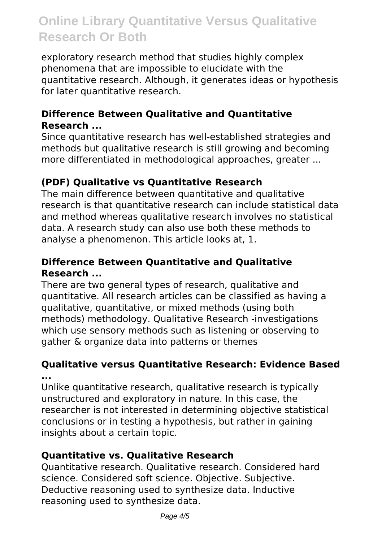exploratory research method that studies highly complex phenomena that are impossible to elucidate with the quantitative research. Although, it generates ideas or hypothesis for later quantitative research.

#### **Difference Between Qualitative and Quantitative Research ...**

Since quantitative research has well-established strategies and methods but qualitative research is still growing and becoming more differentiated in methodological approaches, greater ...

#### **(PDF) Qualitative vs Quantitative Research**

The main difference between quantitative and qualitative research is that quantitative research can include statistical data and method whereas qualitative research involves no statistical data. A research study can also use both these methods to analyse a phenomenon. This article looks at, 1.

#### **Difference Between Quantitative and Qualitative Research ...**

There are two general types of research, qualitative and quantitative. All research articles can be classified as having a qualitative, quantitative, or mixed methods (using both methods) methodology. Qualitative Research -investigations which use sensory methods such as listening or observing to gather & organize data into patterns or themes

#### **Qualitative versus Quantitative Research: Evidence Based ...**

Unlike quantitative research, qualitative research is typically unstructured and exploratory in nature. In this case, the researcher is not interested in determining objective statistical conclusions or in testing a hypothesis, but rather in gaining insights about a certain topic.

#### **Quantitative vs. Qualitative Research**

Quantitative research. Qualitative research. Considered hard science. Considered soft science. Objective. Subjective. Deductive reasoning used to synthesize data. Inductive reasoning used to synthesize data.